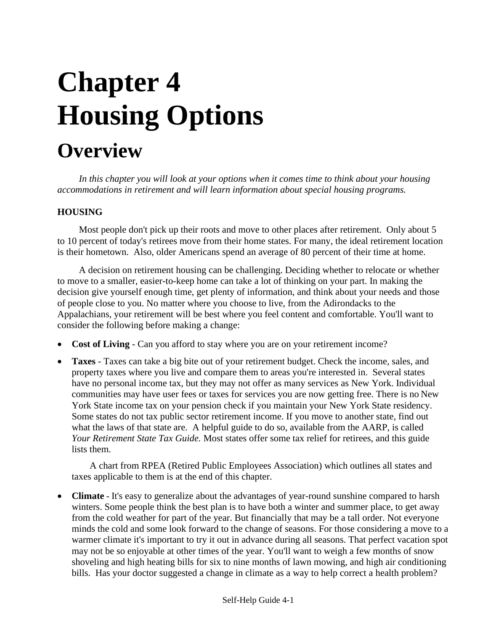# **Chapter 4 Housing Options**

# **Overview**

*In this chapter you will look at your options when it comes time to think about your housing accommodations in retirement and will learn information about special housing programs.*

#### **HOUSING**

Most people don't pick up their roots and move to other places after retirement. Only about 5 to 10 percent of today's retirees move from their home states. For many, the ideal retirement location is their hometown. Also, older Americans spend an average of 80 percent of their time at home.

A decision on retirement housing can be challenging. Deciding whether to relocate or whether to move to a smaller, easier-to-keep home can take a lot of thinking on your part. In making the decision give yourself enough time, get plenty of information, and think about your needs and those of people close to you. No matter where you choose to live, from the Adirondacks to the Appalachians, your retirement will be best where you feel content and comfortable. You'll want to consider the following before making a change:

- **Cost of Living Can you afford to stay where you are on your retirement income?**
- **Taxes**  Taxes can take a big bite out of your retirement budget. Check the income, sales, and property taxes where you live and compare them to areas you're interested in. Several states have no personal income tax, but they may not offer as many services as New York. Individual communities may have user fees or taxes for services you are now getting free. There is no New York State income tax on your pension check if you maintain your New York State residency. Some states do not tax public sector retirement income. If you move to another state, find out what the laws of that state are. A helpful guide to do so, available from the AARP, is called *Your Retirement State Tax Guide.* Most states offer some tax relief for retirees, and this guide lists them.

A chart from RPEA (Retired Public Employees Association) which outlines all states and taxes applicable to them is at the end of this chapter.

• **Climate -** It's easy to generalize about the advantages of year-round sunshine compared to harsh winters. Some people think the best plan is to have both a winter and summer place, to get away from the cold weather for part of the year. But financially that may be a tall order. Not everyone minds the cold and some look forward to the change of seasons. For those considering a move to a warmer climate it's important to try it out in advance during all seasons. That perfect vacation spot may not be so enjoyable at other times of the year. You'll want to weigh a few months of snow shoveling and high heating bills for six to nine months of lawn mowing, and high air conditioning bills. Has your doctor suggested a change in climate as a way to help correct a health problem?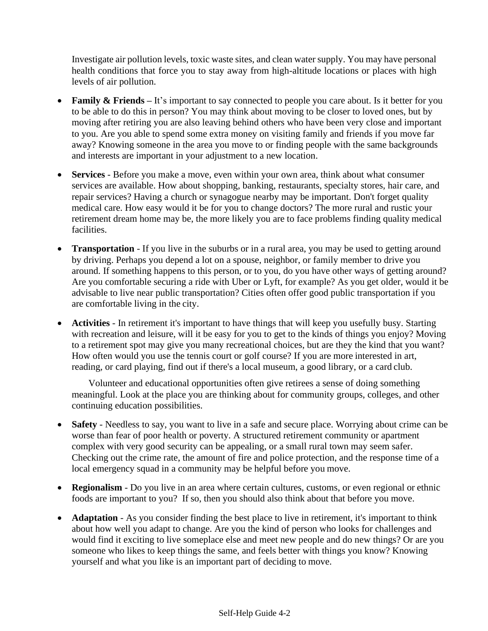Investigate air pollution levels, toxic waste sites, and clean water supply. You may have personal health conditions that force you to stay away from high-altitude locations or places with high levels of air pollution.

- **Family & Friends** It's important to say connected to people you care about. Is it better for you to be able to do this in person? You may think about moving to be closer to loved ones, but by moving after retiring you are also leaving behind others who have been very close and important to you. Are you able to spend some extra money on visiting family and friends if you move far away? Knowing someone in the area you move to or finding people with the same backgrounds and interests are important in your adjustment to a new location.
- **Services**  Before you make a move, even within your own area, think about what consumer services are available. How about shopping, banking, restaurants, specialty stores, hair care, and repair services? Having a church or synagogue nearby may be important. Don't forget quality medical care. How easy would it be for you to change doctors? The more rural and rustic your retirement dream home may be, the more likely you are to face problems finding quality medical facilities.
- **Transportation** If you live in the suburbs or in a rural area, you may be used to getting around by driving. Perhaps you depend a lot on a spouse, neighbor, or family member to drive you around. If something happens to this person, or to you, do you have other ways of getting around? Are you comfortable securing a ride with Uber or Lyft, for example? As you get older, would it be advisable to live near public transportation? Cities often offer good public transportation if you are comfortable living in the city.
- **Activities** In retirement it's important to have things that will keep you usefully busy. Starting with recreation and leisure, will it be easy for you to get to the kinds of things you enjoy? Moving to a retirement spot may give you many recreational choices, but are they the kind that you want? How often would you use the tennis court or golf course? If you are more interested in art, reading, or card playing, find out if there's a local museum, a good library, or a card club.

 Volunteer and educational opportunities often give retirees a sense of doing something meaningful. Look at the place you are thinking about for community groups, colleges, and other continuing education possibilities.

- **Safety** Needless to say, you want to live in a safe and secure place. Worrying about crime can be worse than fear of poor health or poverty. A structured retirement community or apartment complex with very good security can be appealing, or a small rural town may seem safer. Checking out the crime rate, the amount of fire and police protection, and the response time of a local emergency squad in a community may be helpful before you move.
- **Regionalism** Do you live in an area where certain cultures, customs, or even regional or ethnic foods are important to you? If so, then you should also think about that before you move.
- **Adaptation** As you consider finding the best place to live in retirement, it's important to think about how well you adapt to change. Are you the kind of person who looks for challenges and would find it exciting to live someplace else and meet new people and do new things? Or are you someone who likes to keep things the same, and feels better with things you know? Knowing yourself and what you like is an important part of deciding to move.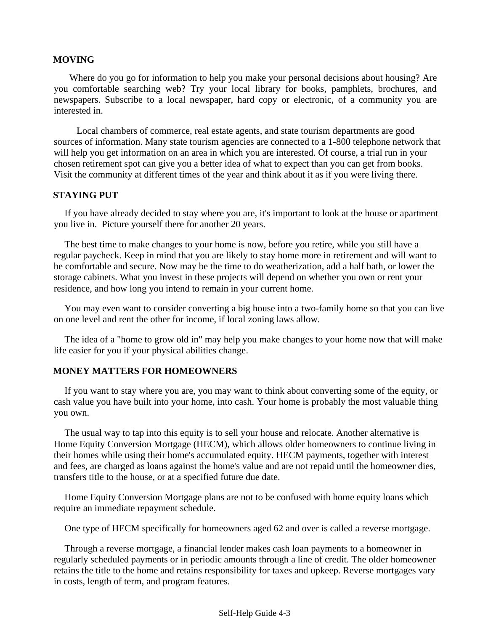#### **MOVING**

Where do you go for information to help you make your personal decisions about housing? Are you comfortable searching web? Try your local library for books, pamphlets, brochures, and newspapers. Subscribe to a local newspaper, hard copy or electronic, of a community you are interested in.

Local chambers of commerce, real estate agents, and state tourism departments are good sources of information. Many state tourism agencies are connected to a 1-800 telephone network that will help you get information on an area in which you are interested. Of course, a trial run in your chosen retirement spot can give you a better idea of what to expect than you can get from books. Visit the community at different times of the year and think about it as if you were living there.

#### **STAYING PUT**

If you have already decided to stay where you are, it's important to look at the house or apartment you live in. Picture yourself there for another 20 years.

The best time to make changes to your home is now, before you retire, while you still have a regular paycheck. Keep in mind that you are likely to stay home more in retirement and will want to be comfortable and secure. Now may be the time to do weatherization, add a half bath, or lower the storage cabinets. What you invest in these projects will depend on whether you own or rent your residence, and how long you intend to remain in your current home.

You may even want to consider converting a big house into a two-family home so that you can live on one level and rent the other for income, if local zoning laws allow.

The idea of a "home to grow old in" may help you make changes to your home now that will make life easier for you if your physical abilities change.

#### **MONEY MATTERS FOR HOMEOWNERS**

If you want to stay where you are, you may want to think about converting some of the equity, or cash value you have built into your home, into cash. Your home is probably the most valuable thing you own.

The usual way to tap into this equity is to sell your house and relocate. Another alternative is Home Equity Conversion Mortgage (HECM), which allows older homeowners to continue living in their homes while using their home's accumulated equity. HECM payments, together with interest and fees, are charged as loans against the home's value and are not repaid until the homeowner dies, transfers title to the house, or at a specified future due date.

Home Equity Conversion Mortgage plans are not to be confused with home equity loans which require an immediate repayment schedule.

One type of HECM specifically for homeowners aged 62 and over is called a reverse mortgage.

Through a reverse mortgage, a financial lender makes cash loan payments to a homeowner in regularly scheduled payments or in periodic amounts through a line of credit. The older homeowner retains the title to the home and retains responsibility for taxes and upkeep. Reverse mortgages vary in costs, length of term, and program features.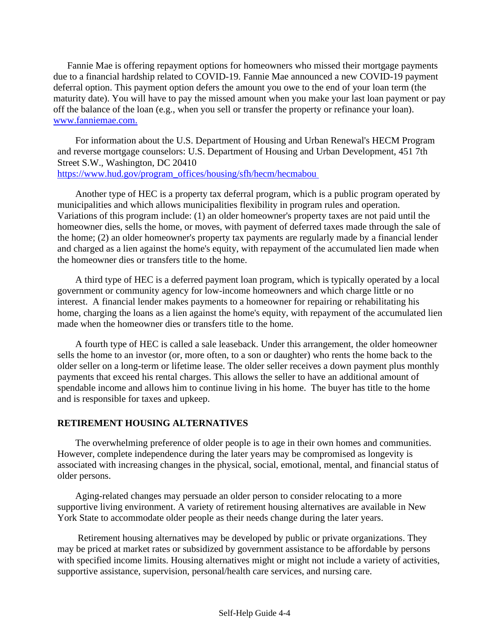Fannie Mae is offering repayment options for homeowners who missed their mortgage payments due to a financial hardship related to COVID-19. Fannie Mae announced a new COVID-19 payment deferral option. This payment option defers the amount you owe to the end of your loan term (the maturity date). You will have to pay the missed amount when you make your last loan payment or pay off the balance of the loan (e.g., when you sell or transfer the property or refinance your loan). [www.fanniemae.com.](http://www.fanniemae.com/)

For information about the U.S. Department of Housing and Urban Renewal's HECM Program and reverse mortgage counselors: U.S. Department of Housing and Urban Development, 451 7th Street S.W., Washington, DC 20410 [https://www.hud.gov/program\\_offices/housing/sfh/hecm/hecmabou](https://www.hud.gov/program_offices/housing/sfh/hecm/hecmabou)

Another type of HEC is a property tax deferral program, which is a public program operated by municipalities and which allows municipalities flexibility in program rules and operation. Variations of this program include: (1) an older homeowner's property taxes are not paid until the homeowner dies, sells the home, or moves, with payment of deferred taxes made through the sale of the home; (2) an older homeowner's property tax payments are regularly made by a financial lender and charged as a lien against the home's equity, with repayment of the accumulated lien made when the homeowner dies or transfers title to the home.

A third type of HEC is a deferred payment loan program, which is typically operated by a local government or community agency for low-income homeowners and which charge little or no interest. A financial lender makes payments to a homeowner for repairing or rehabilitating his home, charging the loans as a lien against the home's equity, with repayment of the accumulated lien made when the homeowner dies or transfers title to the home.

A fourth type of HEC is called a sale leaseback. Under this arrangement, the older homeowner sells the home to an investor (or, more often, to a son or daughter) who rents the home back to the older seller on a long-term or lifetime lease. The older seller receives a down payment plus monthly payments that exceed his rental charges. This allows the seller to have an additional amount of spendable income and allows him to continue living in his home. The buyer has title to the home and is responsible for taxes and upkeep.

#### **RETIREMENT HOUSING ALTERNATIVES**

The overwhelming preference of older people is to age in their own homes and communities. However, complete independence during the later years may be compromised as longevity is associated with increasing changes in the physical, social, emotional, mental, and financial status of older persons.

Aging-related changes may persuade an older person to consider relocating to a more supportive living environment. A variety of retirement housing alternatives are available in New York State to accommodate older people as their needs change during the later years.

Retirement housing alternatives may be developed by public or private organizations. They may be priced at market rates or subsidized by government assistance to be affordable by persons with specified income limits. Housing alternatives might or might not include a variety of activities, supportive assistance, supervision, personal/health care services, and nursing care.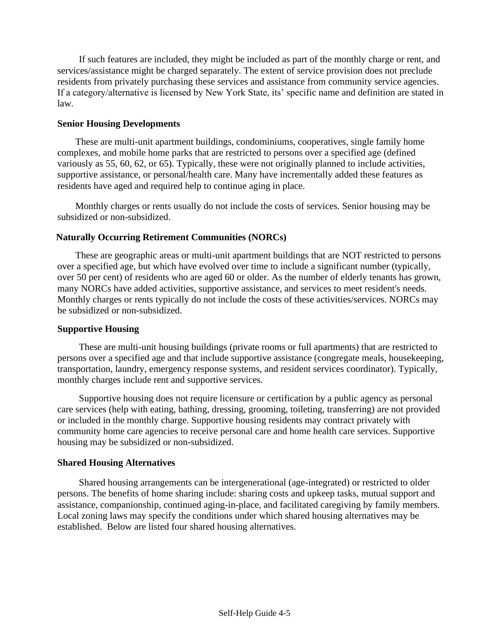If such features are included, they might be included as part of the monthly charge or rent, and services/assistance might be charged separately. The extent of service provision does not preclude residents from privately purchasing these services and assistance from community service agencies. If a category/alternative is licensed by New York State, its' specific name and definition are stated in law.

#### **Senior Housing Developments**

These are multi-unit apartment buildings, condominiums, cooperatives, single family home complexes, and mobile home parks that are restricted to persons over a specified age (defined variously as 55, 60, 62, or 65). Typically, these were not originally planned to include activities, supportive assistance, or personal/health care. Many have incrementally added these features as residents have aged and required help to continue aging in place.

Monthly charges or rents usually do not include the costs of services. Senior housing may be subsidized or non-subsidized.

#### **Naturally Occurring Retirement Communities (NORCs)**

These are geographic areas or multi-unit apartment buildings that are NOT restricted to persons over a specified age, but which have evolved over time to include a significant number (typically, over 50 per cent) of residents who are aged 60 or older. As the number of elderly tenants has grown, many NORCs have added activities, supportive assistance, and services to meet resident's needs. Monthly charges or rents typically do not include the costs of these activities/services. NORCs may be subsidized or non-subsidized.

#### **Supportive Housing**

These are multi-unit housing buildings (private rooms or full apartments) that are restricted to persons over a specified age and that include supportive assistance (congregate meals, housekeeping, transportation, laundry, emergency response systems, and resident services coordinator). Typically, monthly charges include rent and supportive services.

Supportive housing does not require licensure or certification by a public agency as personal care services (help with eating, bathing, dressing, grooming, toileting, transferring) are not provided or included in the monthly charge. Supportive housing residents may contract privately with community home care agencies to receive personal care and home health care services. Supportive housing may be subsidized or non-subsidized.

#### **Shared Housing Alternatives**

Shared housing arrangements can be intergenerational (age-integrated) or restricted to older persons. The benefits of home sharing include: sharing costs and upkeep tasks, mutual support and assistance, companionship, continued aging-in-place, and facilitated caregiving by family members. Local zoning laws may specify the conditions under which shared housing alternatives may be established. Below are listed four shared housing alternatives.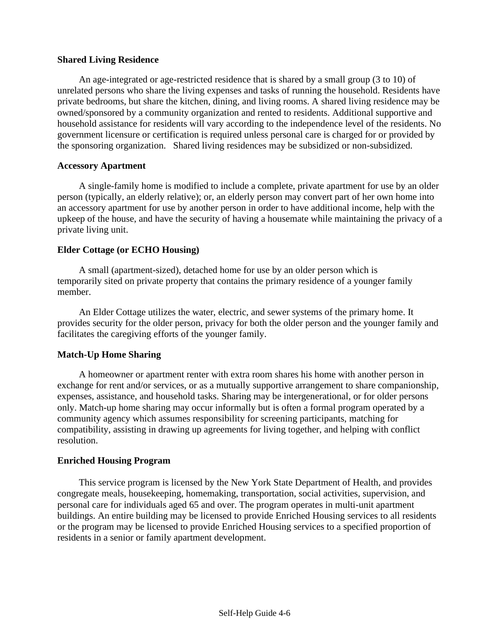#### **Shared Living Residence**

An age-integrated or age-restricted residence that is shared by a small group (3 to 10) of unrelated persons who share the living expenses and tasks of running the household. Residents have private bedrooms, but share the kitchen, dining, and living rooms. A shared living residence may be owned/sponsored by a community organization and rented to residents. Additional supportive and household assistance for residents will vary according to the independence level of the residents. No government licensure or certification is required unless personal care is charged for or provided by the sponsoring organization. Shared living residences may be subsidized or non-subsidized.

#### **Accessory Apartment**

A single-family home is modified to include a complete, private apartment for use by an older person (typically, an elderly relative); or, an elderly person may convert part of her own home into an accessory apartment for use by another person in order to have additional income, help with the upkeep of the house, and have the security of having a housemate while maintaining the privacy of a private living unit.

#### **Elder Cottage (or ECHO Housing)**

A small (apartment-sized), detached home for use by an older person which is temporarily sited on private property that contains the primary residence of a younger family member.

An Elder Cottage utilizes the water, electric, and sewer systems of the primary home. It provides security for the older person, privacy for both the older person and the younger family and facilitates the caregiving efforts of the younger family.

#### **Match-Up Home Sharing**

A homeowner or apartment renter with extra room shares his home with another person in exchange for rent and/or services, or as a mutually supportive arrangement to share companionship, expenses, assistance, and household tasks. Sharing may be intergenerational, or for older persons only. Match-up home sharing may occur informally but is often a formal program operated by a community agency which assumes responsibility for screening participants, matching for compatibility, assisting in drawing up agreements for living together, and helping with conflict resolution.

#### **Enriched Housing Program**

This service program is licensed by the New York State Department of Health, and provides congregate meals, housekeeping, homemaking, transportation, social activities, supervision, and personal care for individuals aged 65 and over. The program operates in multi-unit apartment buildings. An entire building may be licensed to provide Enriched Housing services to all residents or the program may be licensed to provide Enriched Housing services to a specified proportion of residents in a senior or family apartment development.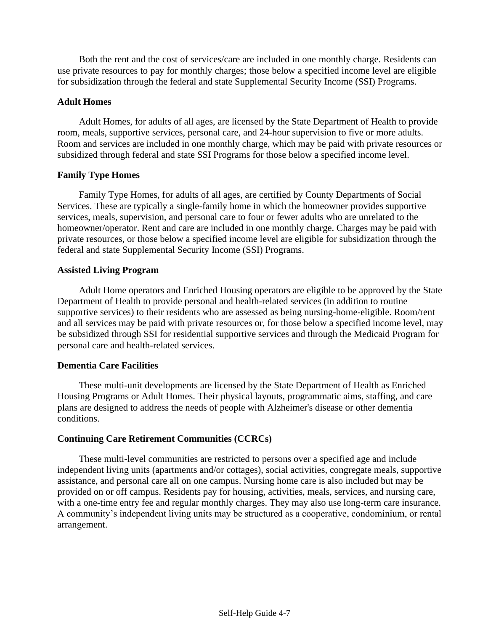Both the rent and the cost of services/care are included in one monthly charge. Residents can use private resources to pay for monthly charges; those below a specified income level are eligible for subsidization through the federal and state Supplemental Security Income (SSI) Programs.

#### **Adult Homes**

Adult Homes, for adults of all ages, are licensed by the State Department of Health to provide room, meals, supportive services, personal care, and 24-hour supervision to five or more adults. Room and services are included in one monthly charge, which may be paid with private resources or subsidized through federal and state SSI Programs for those below a specified income level.

#### **Family Type Homes**

Family Type Homes, for adults of all ages, are certified by County Departments of Social Services. These are typically a single-family home in which the homeowner provides supportive services, meals, supervision, and personal care to four or fewer adults who are unrelated to the homeowner/operator. Rent and care are included in one monthly charge. Charges may be paid with private resources, or those below a specified income level are eligible for subsidization through the federal and state Supplemental Security Income (SSI) Programs.

#### **Assisted Living Program**

Adult Home operators and Enriched Housing operators are eligible to be approved by the State Department of Health to provide personal and health-related services (in addition to routine supportive services) to their residents who are assessed as being nursing-home-eligible. Room/rent and all services may be paid with private resources or, for those below a specified income level, may be subsidized through SSI for residential supportive services and through the Medicaid Program for personal care and health-related services.

#### **Dementia Care Facilities**

These multi-unit developments are licensed by the State Department of Health as Enriched Housing Programs or Adult Homes. Their physical layouts, programmatic aims, staffing, and care plans are designed to address the needs of people with Alzheimer's disease or other dementia conditions.

#### **Continuing Care Retirement Communities (CCRCs)**

These multi-level communities are restricted to persons over a specified age and include independent living units (apartments and/or cottages), social activities, congregate meals, supportive assistance, and personal care all on one campus. Nursing home care is also included but may be provided on or off campus. Residents pay for housing, activities, meals, services, and nursing care, with a one-time entry fee and regular monthly charges. They may also use long-term care insurance. A community's independent living units may be structured as a cooperative, condominium, or rental arrangement.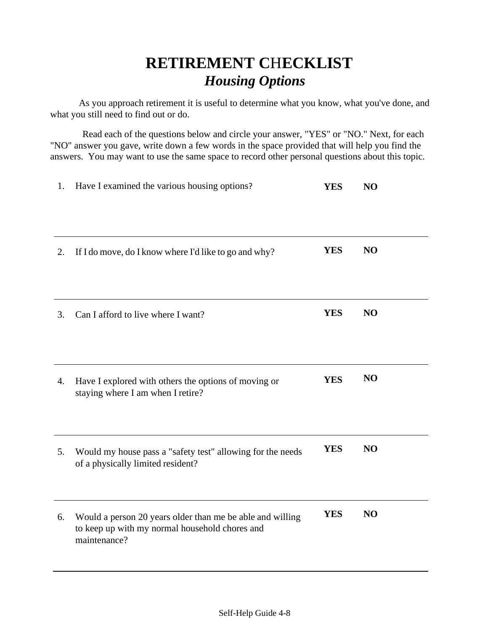# **RETIREMENT C**H**ECKLIST**   *Housing Options*

As you approach retirement it is useful to determine what you know, what you've done, and what you still need to find out or do.

Read each of the questions below and circle your answer, "YES" or "NO." Next, for each "NO" answer you gave, write down a few words in the space provided that will help you find the answers. You may want to use the same space to record other personal questions about this topic.

| 1. | Have I examined the various housing options?                                                                                | <b>YES</b> | N <sub>O</sub> |
|----|-----------------------------------------------------------------------------------------------------------------------------|------------|----------------|
|    |                                                                                                                             |            |                |
| 2. | If I do move, do I know where I'd like to go and why?                                                                       | <b>YES</b> | N <sub>O</sub> |
|    |                                                                                                                             |            |                |
| 3. | Can I afford to live where I want?                                                                                          | <b>YES</b> | N <sub>O</sub> |
|    |                                                                                                                             |            |                |
| 4. | Have I explored with others the options of moving or<br>staying where I am when I retire?                                   | <b>YES</b> | N <sub>O</sub> |
| 5. | Would my house pass a "safety test" allowing for the needs                                                                  | <b>YES</b> | N <sub>O</sub> |
|    | of a physically limited resident?                                                                                           |            |                |
| 6. | Would a person 20 years older than me be able and willing<br>to keep up with my normal household chores and<br>maintenance? | <b>YES</b> | N <sub>O</sub> |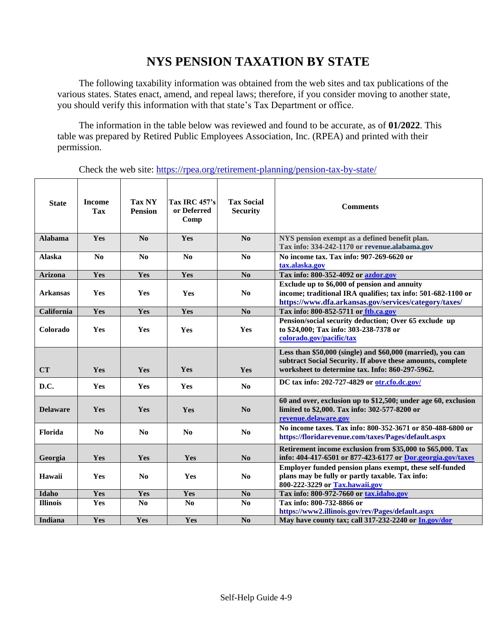## **NYS PENSION TAXATION BY STATE**

The following taxability information was obtained from the web sites and tax publications of the various states. States enact, amend, and repeal laws; therefore, if you consider moving to another state, you should verify this information with that state's Tax Department or office.

The information in the table below was reviewed and found to be accurate, as of **01/2022**. This table was prepared by Retired Public Employees Association, Inc. (RPEA) and printed with their permission.

Check the web site:<https://rpea.org/retirement-planning/pension-tax-by-state/>

| <b>State</b>    | <b>Income</b><br>Tax | <b>Tax NY</b><br><b>Pension</b> | <b>Tax IRC 457's</b><br>or Deferred<br>Comp | <b>Tax Social</b><br><b>Security</b> | <b>Comments</b>                                                                                                                                                              |
|-----------------|----------------------|---------------------------------|---------------------------------------------|--------------------------------------|------------------------------------------------------------------------------------------------------------------------------------------------------------------------------|
| <b>Alabama</b>  | Yes                  | N <sub>0</sub>                  | Yes                                         | No                                   | NYS pension exempt as a defined benefit plan.<br>Tax info: 334-242-1170 or revenue.alabama.gov                                                                               |
| <b>Alaska</b>   | N <sub>0</sub>       | N <sub>0</sub>                  | No                                          | N <sub>0</sub>                       | No income tax. Tax info: 907-269-6620 or<br>tax.alaska.gov                                                                                                                   |
| <b>Arizona</b>  | Yes                  | Yes                             | Yes                                         | N <sub>0</sub>                       | Tax info: 800-352-4092 or azdor.gov                                                                                                                                          |
| <b>Arkansas</b> | Yes                  | Yes                             | Yes                                         | N <sub>0</sub>                       | Exclude up to \$6,000 of pension and annuity<br>income; traditional IRA qualifies; tax info: 501-682-1100 or<br>https://www.dfa.arkansas.gov/services/category/taxes/        |
| California      | Yes                  | Yes                             | Yes                                         | N <sub>0</sub>                       | Tax info: 800-852-5711 or ftb.ca.gov                                                                                                                                         |
| Colorado        | Yes                  | Yes                             | Yes                                         | Yes                                  | Pension/social security deduction; Over 65 exclude up<br>to \$24,000; Tax info: 303-238-7378 or<br>colorado.gov/pacific/tax                                                  |
| CT              | Yes                  | Yes                             | Yes                                         | Yes                                  | Less than \$50,000 (single) and \$60,000 (married), you can<br>subtract Social Security. If above these amounts, complete<br>worksheet to determine tax. Info: 860-297-5962. |
| D.C.            | Yes                  | Yes                             | Yes                                         | N <sub>0</sub>                       | DC tax info: 202-727-4829 or otr.cfo.dc.gov/                                                                                                                                 |
| <b>Delaware</b> | <b>Yes</b>           | Yes                             | Yes                                         | No                                   | 60 and over, exclusion up to \$12,500; under age 60, exclusion<br>limited to \$2,000. Tax info: 302-577-8200 or<br>revenue.delaware.gov                                      |
| Florida         | No.                  | N <sub>0</sub>                  | No                                          | N <sub>0</sub>                       | No income taxes. Tax info: 800-352-3671 or 850-488-6800 or<br>https://floridarevenue.com/taxes/Pages/default.aspx                                                            |
| Georgia         | Yes                  | Yes                             | Yes                                         | N <sub>0</sub>                       | Retirement income exclusion from \$35,000 to \$65,000. Tax<br>info: 404-417-6501 or 877-423-6177 or Dor.georgia.gov/taxes                                                    |
| Hawaii          | Yes                  | N <sub>0</sub>                  | Yes                                         | No                                   | Employer funded pension plans exempt, these self-funded<br>plans may be fully or partly taxable. Tax info:<br>800-222-3229 or Tax.hawaii.gov                                 |
| Idaho           | Yes                  | Yes                             | Yes                                         | N <sub>0</sub>                       | Tax info: 800-972-7660 or tax.idaho.gov                                                                                                                                      |
| <b>Illinois</b> | Yes                  | N <sub>0</sub>                  | N <sub>0</sub>                              | N <sub>0</sub>                       | Tax info: 800-732-8866 or<br>https://www2.illinois.gov/rev/Pages/default.aspx                                                                                                |
| Indiana         | Yes                  | Yes                             | Yes                                         | No                                   | May have county tax; call 317-232-2240 or In.gov/dor                                                                                                                         |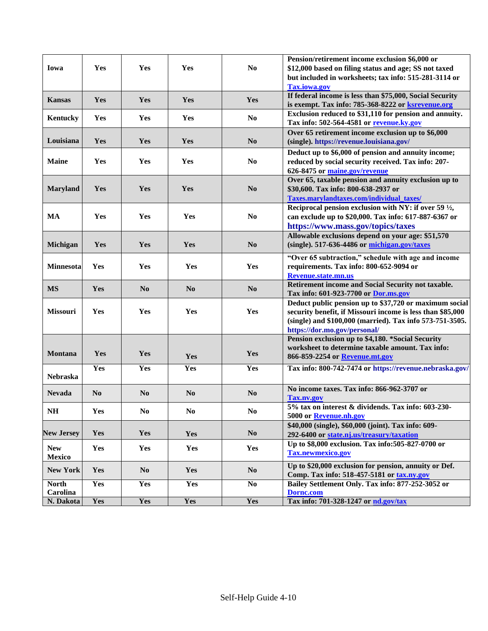|                        |                |                |                |                        | Pension/retirement income exclusion \$6,000 or                   |
|------------------------|----------------|----------------|----------------|------------------------|------------------------------------------------------------------|
| Iowa                   | Yes            | Yes            | Yes            | N <sub>0</sub>         | \$12,000 based on filing status and age; SS not taxed            |
|                        |                |                |                |                        | but included in worksheets; tax info: 515-281-3114 or            |
|                        |                |                |                |                        | <b>Tax.iowa.gov</b>                                              |
| <b>Kansas</b>          | Yes            | <b>Yes</b>     | Yes            | Yes                    | If federal income is less than \$75,000, Social Security         |
|                        |                |                |                |                        | is exempt. Tax info: 785-368-8222 or ksrevenue.org               |
| Kentucky               | Yes            | Yes            | Yes            | N <sub>0</sub>         | Exclusion reduced to \$31,110 for pension and annuity.           |
|                        |                |                |                |                        | Tax info: 502-564-4581 or revenue.ky.gov                         |
|                        |                |                |                |                        | Over 65 retirement income exclusion up to \$6,000                |
| Louisiana              | Yes            | Yes            | Yes            | N <sub>0</sub>         | (single). https://revenue.louisiana.gov/                         |
|                        |                |                |                |                        | Deduct up to \$6,000 of pension and annuity income;              |
| <b>Maine</b>           | Yes            | Yes            | Yes            | N <sub>0</sub>         | reduced by social security received. Tax info: 207-              |
|                        |                |                |                |                        | 626-8475 or maine.gov/revenue                                    |
|                        |                |                |                |                        | Over 65, taxable pension and annuity exclusion up to             |
| <b>Maryland</b>        | Yes            | Yes            | Yes            | N <sub>0</sub>         |                                                                  |
|                        |                |                |                |                        | \$30,600. Tax info: 800-638-2937 or                              |
|                        |                |                |                |                        | Taxes.marylandtaxes.com/individual_taxes/                        |
|                        |                |                |                |                        | Reciprocal pension exclusion with NY: if over 59 $\frac{1}{2}$ , |
| <b>MA</b>              | Yes            | Yes            | Yes            | N <sub>0</sub>         | can exclude up to \$20,000. Tax info: 617-887-6367 or            |
|                        |                |                |                |                        | https://www.mass.gov/topics/taxes                                |
|                        |                |                |                |                        | Allowable exclusions depend on your age: \$51,570                |
| <b>Michigan</b>        | Yes            | Yes            | Yes            | N <sub>0</sub>         | (single). 517-636-4486 or michigan.gov/taxes                     |
|                        |                |                |                |                        |                                                                  |
|                        |                |                |                |                        | "Over 65 subtraction," schedule with age and income              |
| <b>Minnesota</b>       | Yes            | Yes            | Yes            | Yes                    | requirements. Tax info: 800-652-9094 or                          |
|                        |                |                |                |                        | Revenue.state.mn.us                                              |
| <b>MS</b>              | Yes            | N <sub>0</sub> | N <sub>0</sub> | N <sub>0</sub>         | Retirement income and Social Security not taxable.               |
|                        |                |                |                |                        | Tax info: 601-923-7700 or Dor.ms.gov                             |
|                        |                |                |                |                        | Deduct public pension up to \$37,720 or maximum social           |
| Missouri               | Yes            | Yes            | Yes            | Yes                    | security benefit, if Missouri income is less than \$85,000       |
|                        |                |                |                |                        | (single) and \$100,000 (married). Tax info 573-751-3505.         |
|                        |                |                |                |                        | https://dor.mo.gov/personal/                                     |
|                        |                |                |                |                        | Pension exclusion up to \$4,180. *Social Security                |
|                        |                |                |                |                        | worksheet to determine taxable amount. Tax info:                 |
| <b>Montana</b>         | Yes            | Yes            | Yes            | Yes                    | 866-859-2254 or Revenue.mt.gov                                   |
|                        | Yes            | Yes            | Yes            | Yes                    | Tax info: 800-742-7474 or https://revenue.nebraska.gov/          |
| Nebraska               |                |                |                |                        |                                                                  |
|                        |                |                |                |                        |                                                                  |
| <b>Nevada</b>          | N <sub>0</sub> | N <sub>0</sub> | N <sub>0</sub> | N <sub>0</sub>         | No income taxes. Tax info: 866-962-3707 or                       |
|                        |                |                |                |                        | <b>Tax.nv.gov</b>                                                |
| $\mathbf{N}\mathbf{H}$ | Yes            | $\bf No$       | $\bf No$       | $\mathbf{N}\mathbf{o}$ | 5% tax on interest & dividends. Tax info: 603-230-               |
|                        |                |                |                |                        | 5000 or Revenue.nh.gov                                           |
|                        |                |                |                |                        | \$40,000 (single), \$60,000 (joint). Tax info: 609-              |
| <b>New Jersey</b>      | Yes            | Yes            | Yes            | $\bf No$               | 292-6400 or state.nj.us/treasury/taxation                        |
|                        |                |                |                |                        | Up to \$8,000 exclusion. Tax info:505-827-0700 or                |
| <b>New</b>             | Yes            | Yes            | Yes            | <b>Yes</b>             | <b>Tax.newmexico.gov</b>                                         |
| <b>Mexico</b>          |                |                |                |                        |                                                                  |
| <b>New York</b>        | Yes            | No             | Yes            | N <sub>0</sub>         | Up to \$20,000 exclusion for pension, annuity or Def.            |
|                        |                |                |                |                        | Comp. Tax info: 518-457-5181 or tax.ny.gov                       |
| <b>North</b>           | Yes            | <b>Yes</b>     | Yes            | No                     | Bailey Settlement Only. Tax info: 877-252-3052 or                |
| Carolina               |                |                |                |                        | <b>Dorne.com</b>                                                 |
| N. Dakota              | Yes            | Yes            | Yes            | Yes                    | Tax info: 701-328-1247 or nd.gov/tax                             |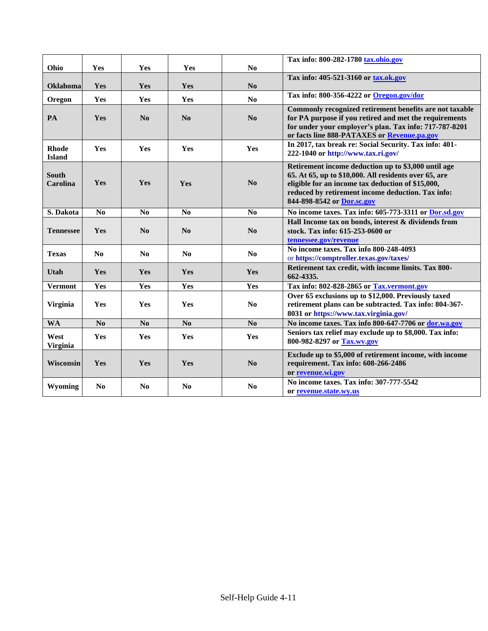| Ohio                          | Yes             | Yes            | Yes             | N <sub>0</sub> | Tax info: 800-282-1780 tax.ohio.gov                                                                                                                                                                                                                  |
|-------------------------------|-----------------|----------------|-----------------|----------------|------------------------------------------------------------------------------------------------------------------------------------------------------------------------------------------------------------------------------------------------------|
|                               |                 |                |                 |                | Tax info: 405-521-3160 or tax.ok.gov                                                                                                                                                                                                                 |
| <b>Oklahoma</b>               | Yes             | Yes            | Yes             | N <sub>0</sub> |                                                                                                                                                                                                                                                      |
| Oregon                        | Yes             | Yes            | Yes             | N <sub>0</sub> | Tax info: 800-356-4222 or Oregon.gov/dor                                                                                                                                                                                                             |
| PA                            | Yes             | No             | No              | No             | Commonly recognized retirement benefits are not taxable<br>for PA purpose if you retired and met the requirements<br>for under your employer's plan. Tax info: 717-787-8201<br>or facts line 888-PATAXES or Revenue.pa.gov                           |
| <b>Rhode</b><br><b>Island</b> | Yes             | Yes            | Yes             | Yes            | In 2017, tax break re: Social Security. Tax info: 401-<br>222-1040 or http://www.tax.ri.gov/                                                                                                                                                         |
| <b>South</b><br>Carolina      | Yes             | Yes            | Yes             | No             | Retirement income deduction up to \$3,000 until age<br>65. At 65, up to \$10,000. All residents over 65, are<br>eligible for an income tax deduction of \$15,000,<br>reduced by retirement income deduction. Tax info:<br>844-898-8542 or Dor.sc.gov |
| S. Dakota                     | N <sub>0</sub>  | No             | N <sub>0</sub>  | N <sub>0</sub> | No income taxes. Tax info: 605-773-3311 or Dor.sd.gov                                                                                                                                                                                                |
| <b>Tennessee</b>              | Yes             | No             | No              | No             | Hall Income tax on bonds, interest & dividends from<br>stock. Tax info: 615-253-0600 or<br>tennessee.gov/revenue                                                                                                                                     |
| <b>Texas</b>                  | N <sub>0</sub>  | No             | N <sub>0</sub>  | N <sub>0</sub> | No income taxes. Tax info 800-248-4093<br>or https://comptroller.texas.gov/taxes/                                                                                                                                                                    |
| Utah                          | Yes             | Yes            | Yes             | Yes            | Retirement tax credit, with income limits. Tax 800-<br>662-4335.                                                                                                                                                                                     |
| <b>Vermont</b>                | Yes             | Yes            | Yes             | Yes            | Tax info: 802-828-2865 or Tax.vermont.gov                                                                                                                                                                                                            |
| <b>Virginia</b>               | Yes             | Yes            | Yes             | No             | Over 65 exclusions up to \$12,000. Previously taxed<br>retirement plans can be subtracted. Tax info: 804-367-<br>8031 or https://www.tax.virginia.gov/                                                                                               |
| <b>WA</b>                     | $\overline{No}$ | N <sub>0</sub> | $\overline{No}$ | N <sub>0</sub> | No income taxes. Tax info 800-647-7706 or dor.wa.gov                                                                                                                                                                                                 |
| West<br><b>Virginia</b>       | Yes             | <b>Yes</b>     | <b>Yes</b>      | Yes            | Seniors tax relief may exclude up to \$8,000. Tax info:<br>800-982-8297 or Tax.wv.gov                                                                                                                                                                |
| Wisconsin                     | Yes             | Yes            | Yes             | N <sub>0</sub> | Exclude up to \$5,000 of retirement income, with income<br>requirement. Tax info: 608-266-2486<br>or revenue.wi.gov                                                                                                                                  |
| Wyoming                       | N <sub>0</sub>  | No             | N <sub>0</sub>  | No             | No income taxes. Tax info: 307-777-5542<br>or revenue.state.wv.us                                                                                                                                                                                    |